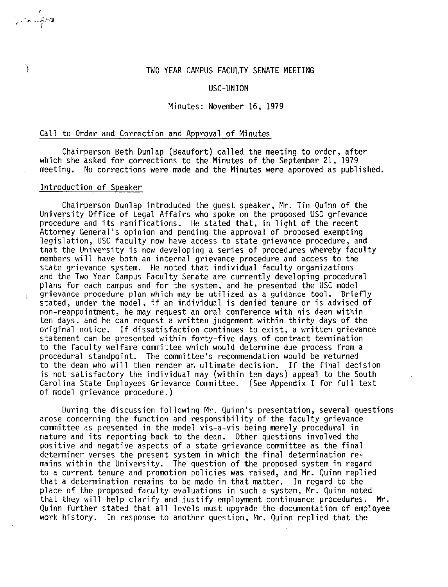# ) TWO YEAR CAMPUS FACULTY SENATE MEETING

### USC-UNION

#### Minutes: November 16, 1979

### Call to Order and Correction and Approval of Minutes

Chairperson Beth Dunlap (Beaufort) called the meeting to order, after which she asked for corrections to the Minutes of the September 21, 1979 meeting. No corrections were made and the Minutes were approved as published.

### Introduction of Speaker

 $\frac{1}{2}$  , and  $\frac{1}{2}$ 

 $\overline{1}$ 

Chairperson Dunlap introduced the guest speaker, Mr. Tim Quinn of the University Office of Legal Affairs who spoke on the proposed USC grievance procedure and its ramifications. He stated that, in light of the recent Attorney General's opinion and pending the approval of proposed exempting legislation, USC faculty now have access to state grievance procedure, and that the University is now developing a series of procedures whereby faculty members will have both an internal grievance procedure and access to the state grievance system. He noted that individual faculty organizations and the Two Year Campus Faculty Senate are currently developing procedural <sup>p</sup>lans for each campus and for the system, and he presented the USC model grievance procedure plan which may be utilized as a guidance tool. Briefly stated, under the model, if an individual is denied tenure or is advised of non-reappointment, he may request an oral conference with his dean within ten days, and he can request a written judgement within thirty days of the original notice. If dissatisfaction continues to exist, a written grievance statement can be presented within forty-five days of contract tennination to the faculty welfare committee which would determine due process from a procedural standpoint. The committee's recommendation would be returned to the dean who will then render an ultimate decision. If the final decision is not satisfactory the individual may (within ten days) appeal to the South Carolina State Employees Grievance Committee. (See Appendix I for full text of model grievance procedure.)

During the discussion following Mr. Quinn's presentation, several questions arose concerning the function and responsibility of the faculty grievance committee as presented in the model vis-a-vis being merely procedural in nature and its reporting back to the dean. Other questions involved the positive and negative aspects of a state grievance committee as the final determiner verses the present system in which the final determination remains within the University. The question of the proposed system in regard to a current tenure and promotion policies was raised, and Mr. Quinn replied that a determination remains to be made in that matter. In regard to the place of the proposed faculty evaluations in such a system, Mr. Quinn noted that they will help clarify and justify employment continuance procedures. Mr. Quinn further stated that all levels must upgrade the documentation of employee work history. In response to another question, Mr. Quinn replied that the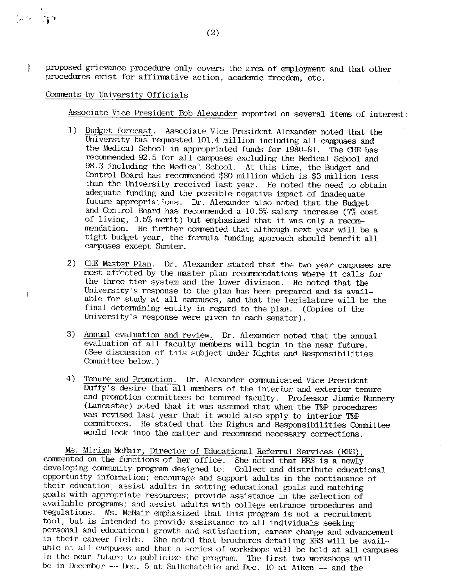$\Big\}$ 

 $\overline{\phantom{a}}$ 

proposed grievance procedure only covers the area of employment and that other procedures exist for affinnative action, academic freedan, etc.

## Comments by University Officials

Associate Vice President Bob Alexander reported on several items of interest:

- l) 13udget forecast. Associate Vice President Alexander noted that the University has requested 101.4 million including all campuses and the Medical School in appropriated funds for 1980-81. The CHE has recommended 92.5 for all campuses excluding the Medical School and 98.3 including the Medical School. At this time, the Budget and Control Board has recommended \$80 million which is \$3 million less than the University received last year. He noted the need to obtain adequate funding and the possible negative impact of inadequate future appropriations. Dr. Alexander also noted that the Budget and Control Board has recommended a  $10.5\%$  salary increase ( $7\%$  cost of living, 3.5% merit) but emphasized that it was only a recommendation. He further commented that although next year will be a tight budget year, the formula funding approach should benefit all campuses except Sumter.
- 2) CHE Master Plan. Dr. Alexander stated that the two year campuses are rmst affected by the master plan recomnendations where it calls for the three tier system and the lower division. He noted that the University's response to the plan has been prepared and is available for study at all campuses, and that the legislature will be the final determining entity in regard to the plan. (Copies of the University's response were given to each senator).
- 3) Annual evaluation and review. Dr. Alexander noted that the annual evaluation of all faculty members will begin in the near future. (See discussion of this subject under Rights and Responsibilities Committee below.)
- 4) Tenure and Promotion. Dr. Alexander communicated Vice President Duffy's desire that all members of the interior and exterior tenure and promotion committees be tenured faculty. Professor Jimmie Nunnery (Lancaster) noted that it was assumed that when the T&P procedures was revised last year that it would also apply to interior T&P comnittees. Ile stated that the Rights and Responsibilities Comnittee would look into the matter and recommend necessary corrections.

Ms. Miriam McNair, Director of Educational Referral Services (ERS) , commented on the functions of her office. She noted that ERS is a newly developing cormnmity program designed to: Collect and distribute educational opportunity information; encourage and support adults in the continuance of their education; assist adults in setting educational goals and matching goals with appropriate resources; provide assistance in the selection of available programs; and assist adults with college entrance procedures and regulations. Ms. McNair emphasized that Lhis program is not a recruitment tool, but is intended to provide assistance to all individuals seeking personal and educational growth and satisfaction, career change and advancement in their career fields. She noted that brochures detailing ERS will be available at all campuses and that a series of workshops will be held at all campuses in the near future to publicize the program. The first two workshops will be in December --  $\alpha$ . 5 at Salkehatchie and Dec. 10 at Aiken -- and the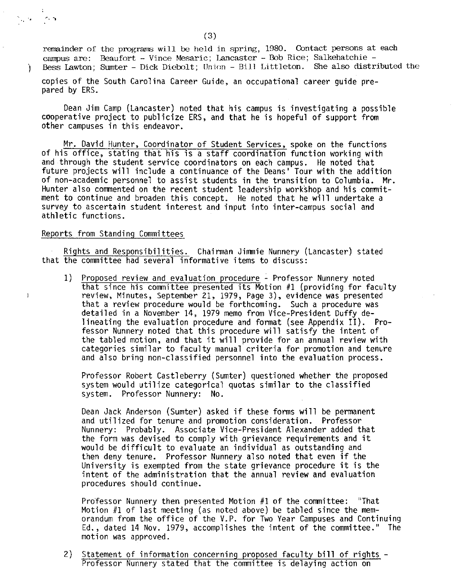remainder of the programs will be held in spring, 1980. Contact persons at each campus are: Beaufort - Vince Mesaric; Lancaster - Bob Rice; Salkehatchie -) Bess Lawton; Sumter - Dick Diebolt; Union - Bill Littleton. She also distributed the

copies of the South Carolina Career Guide, an occupational career guide pre pared by ERS.

Dean Jim Camp (Lancaster) noted that his campus is investigating a possible cooperative project to publicize ERS, and that he is hopeful of support from other campuses in this endeavor.

Mr. David Hunter, Coordinator of Student Services, spoke on the functions of his office, stating that his is a staff coordination function working with and through the student service coordinators on each campus. He noted that future projects will include a continuance of the Deans' Tour with the addition of non-academic personnel to assist students in the transition to Columbia. **Mr.**  Hunter also commented on the recent student leadership workshop and his commitment to continue and broaden this concept. He noted that he will undertake a survey to ascertain student interest and input into inter-campus social and athletic functions.

## Reports from Standing Committees

 $\frac{1}{2}$  ,  $\frac{1}{2}$  ,

 $\mathbf{I}$ 

 $\sim$ 

Rights and Responsibilities. Chairman Jimmie Nunnery (Lancaster) stated that the committee had several informative items to discuss:

1) Proposed review and evaluation procedure - Professor Nunnery noted that since his committee presented its Motion #1 (providing for faculty review, Minutes, September 21, 1979, Page 3), evidence was presented that a review procedure would be forthcoming. Such a procedure was detailed in a November 14, 1979 memo from Vice-President Duffy delineating the evaluation procedure and format (see Appendix II). Professor Nunnery noted that this procedure will satisfy the intent of the tabled motion, and that it will provide for an annual review with categories similar to faculty manual criteria for promotion and tenure and also bring non-classified personnel into the evaluation process.

Professor Robert Castleberry (Sumter) questioned whether the proposed system would utilize categorical quotas similar to the classified system. Professor Nunnery: No.

Dean Jack Anderson (Sumter) asked if these forms will be permanent and utilized for tenure and promotion consideration. Professor Nunnery: Probably. Associate Vice-President Alexander added that the form was devised to comply with grievance requirements and it would be difficult to evaluate an individual as outstanding and then deny tenure. Professor Nunnery also noted that even if the University is exempted from the state grievance procedure it is the intent of the administration that the annual review and evaluation procedures should continue.

Professor Nunnery then presented Motion #1 of the committee: "That Motion #1 of last meeting (as noted above) be tabled since the memorandum from the office of the V.P. for Two Year Campuses and Continuing Ed., dated 14 Nov. 1979, accomplishes the intent of the committee." The motion was approved.

2) Statement of information concerning proposed faculty bill of rights Professor Nunnery stated that the committee is delaying action on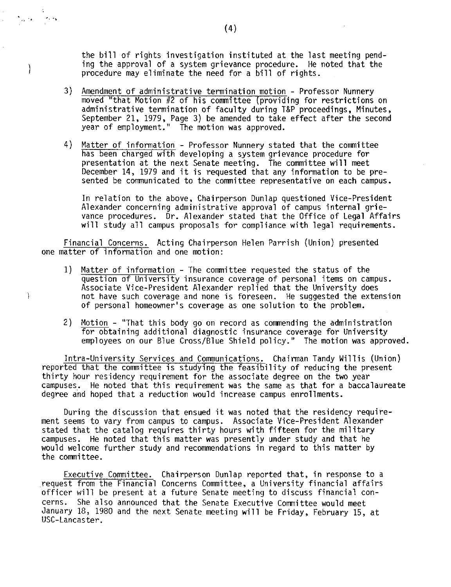the bill of rights investigation instituted at the last meeting pending the approval of a system grievance procedure. He noted that the procedure may eliminate the need for a bill of rights.

- 3) Amendment of administrative termination motion Professor Nunnery moved "that Motion #2 of his committee (providing for restrictions on administrative termination of faculty during T&P proceedings, Minutes, September 21, 1979, Page 3) be amended to take effect after the second year of employment." The motion was approved.
- 4) Matter of information Professor Nunnery stated that the committee has been charged with developing a system grievance procedure for presentation at the next Senate meeting. The committee **will** meet December 14, 1979 and it is requested that any information to be presented be communicated to the committee representative on each campus.

In relation to the above, Chairperson Dunlap questioned Vice-President Alexander concerning administrative approval of campus internal grievance procedures. Dr. Alexander stated that the Office of Legal Affairs will study all campus proposals for compliance with legal requirements.

Financial Concerns. Acting Chairperson Helen Parrish (Union) presented one matter of information and one motion:

- 1) Matter of information The committee requested the status of the question of University insurance coverage of personal items on campus. Associate Vice-President Alexander replied that the University does not have such coverage and none is foreseen. He suggested the extension of personal homeowner's coverage as one solution to the problem.
- 2) Motion "That this body go on record as commending the administration for obtaining additional diagnostic insurance coverage for University employees on our Blue Cross/Blue Shield policy." The motion was approved.

Intra-University Services and Communications. Chairman Tandy Willis (Union) reported that the committee is studying the feasibility of reducing the present thirty hour residency requirement for the associate degree on the two year campuses. He noted that this requirement was the same as that for a baccalaureate degree and hoped that a reduction would increase campus enrollments.

During the discussion that ensued it was noted that the residency requirement seems to vary from campus to campus. Associate Vice-President Alexander stated that the catalog requires thirty hours with fifteen for the military campuses. He noted that this matter was presently under study and that he would welcome further study and recommendations in regard to this matter by the committee.

Executive Committee. Chairperson Dunlap reported that, in response to a request from the Financial Concerns Committee, a University financial affairs officer will be present at a future Senate meeting to discuss financial concerns. She also announced that the Senate Executive Committee would meet January 18, 1980 and the next Senate meeting will be Friday, February 15, at USC-Lancaster.

.,

 $\mu_{\rm F}$  ,  $\mu_{\rm F}$ 

1

 $\big\}$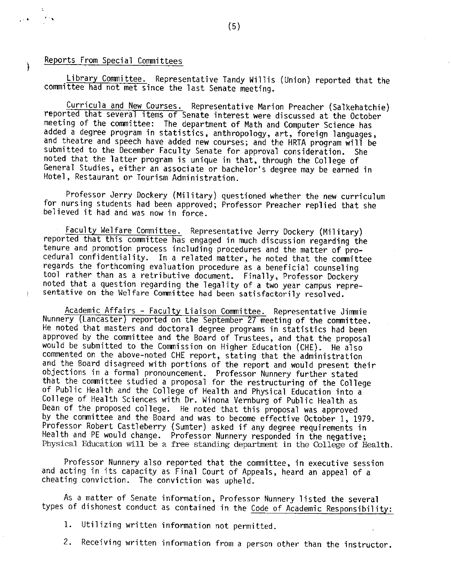Reports From Special Committees

)

 $\sqrt{1+\frac{1}{2}}$ 

. .

Library Committee. Representative Tandy Willis (Union) reported that the committee had not met since the last Senate meeting.

Curricula and New Courses. Representative Marion Preacher (Salkehatchie) reported that several items of Senate interest were discussed at the October meeting of the committee: The department of Math and Computer Science has added a degree program in statistics, anthropology, art, foreign languages, and theatre and speech have added new courses; and the HRTA program will be submitted to the December Faculty Senate for approval consideration. She noted that the latter program is unique in that, through the College of General Studies, either an associate or bachelor's degree may be earned in Hotel, Restaurant or Tourism Administration.

Professor Jerry Dockery (Military) questioned whether the new curriculum for nursing students had been approved; Professor Preacher replied that she believed it had and was now in force.

Faculty Welfare Committee. Representative Jerry Dockery (Military) reported that this committee has engaged in much discussion regarding the tenure and promotion process including procedures and the matter of procedural confidentiality. In a related matter, he noted that the committee regards the forthcoming evaluation procedure as a beneficial counseling tool rather than as a retributive document. Finally, Professor Dockery noted that a question regarding the legality of a two year campus representative on the Welfare Committee had been satisfactorily resolved.

Academic Affairs - Faculty Liaison Committee. Representative Jimmie Nunnery (Lancaster) reported on the September 27 meeting of the committee. He noted that masters and doctoral degree programs in statistics had been approved by the committee and the Board of Trustees, and that the proposal would be submitted to the Commission on Higher Education (CHE). He also commented on the above-noted CHE report, stating that the administration and the Board disagreed with portions of the report and would present their objections in a formal pronouncement. Professor Nunnery further stated that the committee studied a proposal for the restructuring of the College of Public Health and the College of Health and Physical Education into a College of Health Sciences with Dr. Winona Vernburg of Public Health as Dean of the proposed college. He noted that this proposal was approved by the committee and the Board and was to become effective October 1, 1979. Professor Robert Castleberry (Sumter) asked if any degree requirements in Health and PE would change. Professor Nunnery responded in the negative; Physical Education will be a free standing department in the College of Health.

Professor Nunnery also reported that the committee, in executive session and acting in its capacity as Final Court of Appeals, heard an appeal of a cheating conviction. The conviction was upheld.

As a matter of Senate information, Professor Nunnery listed the several types of dishonest conduct as contained in the Code of Academic Responsibility:

1. Utilizing written information not permitted.

2. Receiving written information from a person other than the instructor.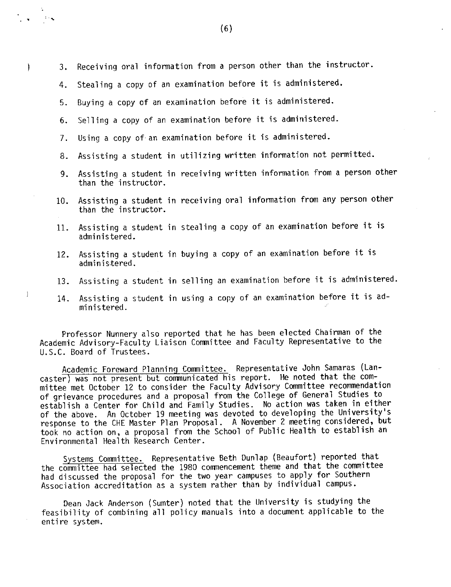3. Receiving oral infonnation from a person other than the instructor.

- 4. Stealing a copy of an examination before it is administered.
- 5. Buying a copy of an examination before it is administered.

.. :-,

 $\big\}$ 

 $\left.\rule{0cm}{0.4cm}\right.$ 

- 6. Selling a copy of an examination before it is administered.
- 7. Using a copy of·an examination before it is administered.
- 8. Assisting a student in utilizing written information not permitted.
- 9. Assisting a student in receiving written infonnation from a person other than the instructor.
- 10. Assisting a student in receiving oral information from any person other than the instructor.
- 11. Assisting a student in stealing a copy of an examination before it is administered.
- 12. Assisting a student in buying a copy of an examination before it is administered.
- 13. Assisting a student in selling an examination before it is administered.
- 14. Assisting a student in using a copy of an examination before it is administered.

Professor Nunnery also reported that he has been elected Chairman of the Academic Advisory-Faculty Liaison Committee and Faculty Representative to the U.S.C. Board of Trustees.

Academic Foreward Planning Committee. Representative John Samaras (Lancaster) was not present but communicated his report. He noted that the committee met October 12 to consider the Faculty Advisory Committee recommendation of grievance procedures and a proposal from the College of General Studies to establish a Center for Child and Family Studies. No action was taken in either of the above. An October 19 meeting was devoted to developing the University's response to the CHE Master Plan Proposal. A November 2 meeting considered, but took no action on, a proposal from the School of Public Health to establish an Environmental Health Research Center.

Systems Committee. Representative Beth Dunlap (Beaufort) reported that the committee had selected the 1980 commencement theme and that the committee had discussed the proposal for the two year campuses to apply for Southern Association accreditation as a system rather than by individual campus.

Dean Jack Anderson (Sumter) noted that the University is studying the feasibility of combining all policy manuals into a document applicable to the entire system.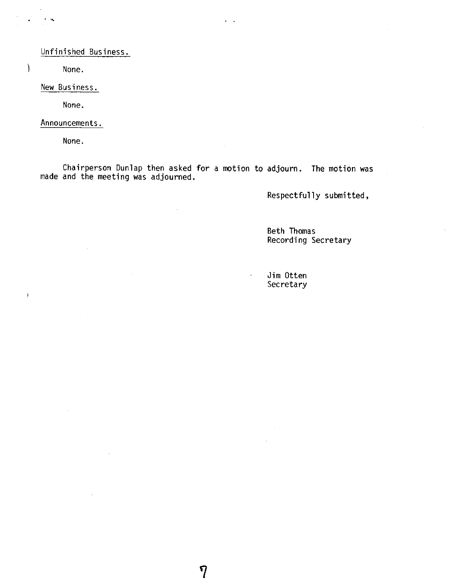## Unfinished Business.

) None.

. ,,

New Business.

None.

Announcements.

None.

 $\mathbf{I}$ 

Chairperson Dunlap then asked for a motion to adjourn. The motion was made and the meeting was adjourned.

7

 $\mathbf{v}=\mathbf{v}$ 

Respectfully submitted,

Beth Thomas Recording Secretary

Jim Otten Secretary

 $\ddot{\phantom{a}}$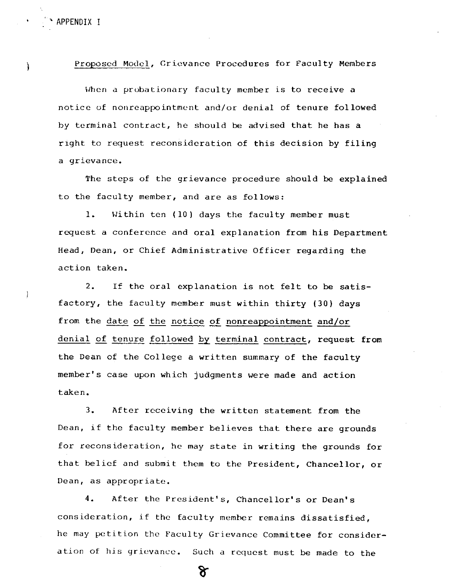' APPENDIX I

 $\cdot$ 

Proposed Model, Grievance Procedures for Faculty Members

When a probationary faculty member is to receive a notice of nonreappointment and/or denial of tenure followed by terminal contract, he should be advised that he has a right to request reconsideration of this decision by filing a grievance.

The steps of the grievance procedure should be explained to the faculty member, and are as follows:

1. Within ten (10) days the faculty member must request a conference and oral explanation from his Department Head, Dean, or Chief Administrative Officer regarding the action taken.

2. If the oral explanation is not felt to be satisfactory, the faculty member must within thirty (30) days from the date of the notice of nonreappointment and/or denial of tenure followed by terminal contract, request from the Dean of the College a written summary of the faculty member's case upon which judgments were made and action taken.

3. After receiving the written statement from the Dean, if the faculty member believes that there are grounds for reconsideration, he may state in writing the grounds for that belief and submit them to the President, Chancellor, or Dean, as appropriate.

4. After the President's, Chancellor's or Dean's consideration, if the faculty member remains dissatisfied, he may petition the Faculty Grievance Committee for consideration of his grievance. Such a request must be made to the

ᡩ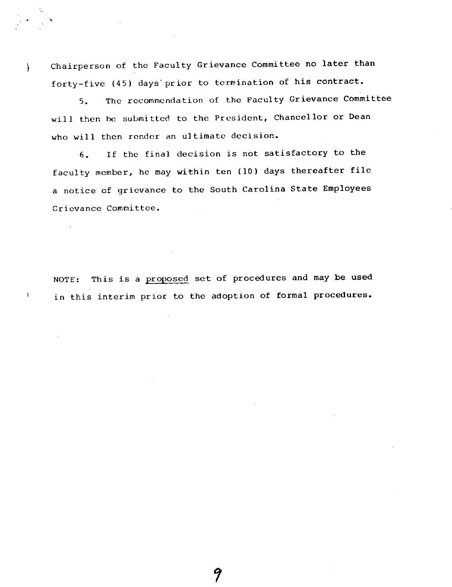Chairperson of the Faculty Grievance Committee no later than forty-five (45) days·prior to termination of his contract.

'

 $\frac{1}{2}$ 

 $\mathbf{I}$ 

5. The recommendation of the Faculty Grievance Committee will then he submitted to the President, Chancellor or Dean who will then render an ultimate decision.

6. If the final decision is not satisfactory to the faculty member, he may within ten (10) days thereafter file <sup>a</sup>notice of grievance to the South Carolina State Employees Grievance Committee.

NOTE: This is a proposed set of procedures and may be used in this interim prior to the adoption of formal procedures.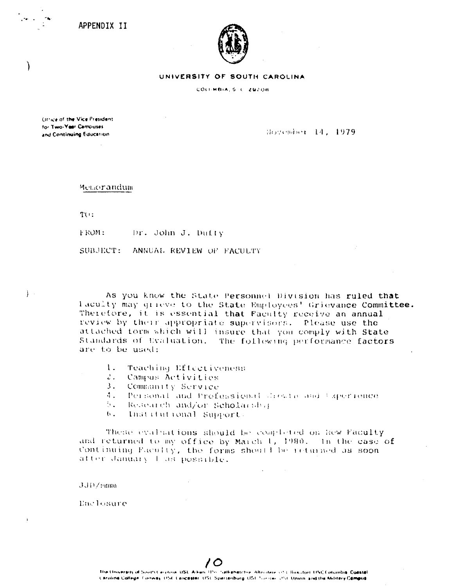APPENDIX II



**UNIVERSITY OF SOUTH CAROLINA** 

COLLMBIA, S. L., 29208

(H"ice of the Vice President tor Two-Year Campuses and Continuing Education.

)

 $\}$ .

Hovember 14, 1979

Metaorandum

n,:

FROM: Dr. John J. Dufty

SUBJECT: ANNUAL REVIEW OF FACULTY

As you know the State Personnel Division has ruled that laculty may grieve to the State Employees' Grievance Committee. Therefore, it is essential that Faculty receive an annual review by their appropriate supervisors. Please use the attached form which will insure that you comply with State Standards of Uvaluation. The following performance factors are to be used:

- l. Teaching Lffcctiveness
- 2. Campus Activities
- 3. Commanity Service.
- 4. Personal and Professional Jackta and Experience
- $\Sigma$ . Research and/or Scholarship
- $t$ . Institutional Suprort.

These evaluations should be completed on Rew Faculty and returned to my office by March 1, 1980. In the case of Continuing Faculty, the forms should be returned as soon atter January I as possible.

 $JJD$ / 2111111

Enclosure

*/0*